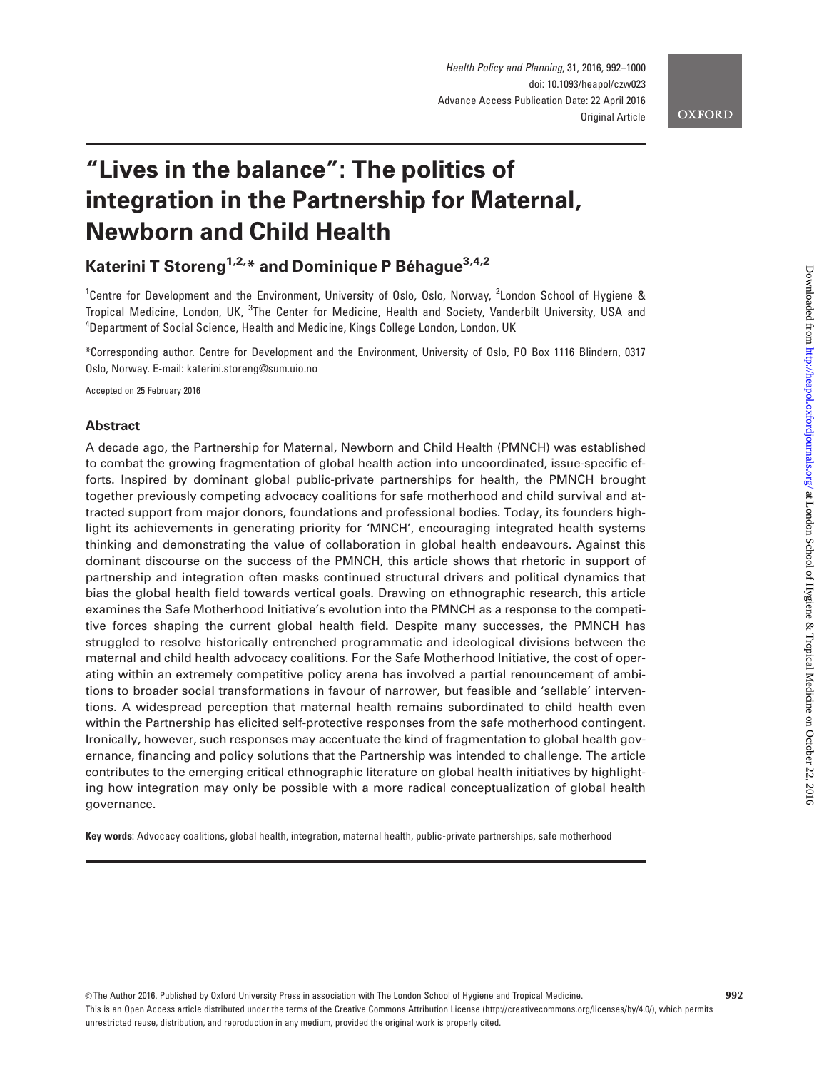**OXFORD** 

# "Lives in the balance": The politics of integration in the Partnership for Maternal, Newborn and Child Health

# Katerini T Storeng<sup>1,2,\*</sup> and Dominique P Béhague<sup>3,4,2</sup>

<sup>1</sup>Centre for Development and the Environment, University of Oslo, Oslo, Norway, <sup>2</sup>London School of Hygiene & Tropical Medicine, London, UK, <sup>3</sup>The Center for Medicine, Health and Society, Vanderbilt University, USA and <sup>4</sup>Department of Social Science, Health and Medicine, Kings College London, London, UK

\*Corresponding author. Centre for Development and the Environment, University of Oslo, PO Box 1116 Blindern, 0317 Oslo, Norway. E-mail: katerini.storeng@sum.uio.no

Accepted on 25 February 2016

# **Abstract**

A decade ago, the Partnership for Maternal, Newborn and Child Health (PMNCH) was established to combat the growing fragmentation of global health action into uncoordinated, issue-specific efforts. Inspired by dominant global public-private partnerships for health, the PMNCH brought together previously competing advocacy coalitions for safe motherhood and child survival and attracted support from major donors, foundations and professional bodies. Today, its founders highlight its achievements in generating priority for 'MNCH', encouraging integrated health systems thinking and demonstrating the value of collaboration in global health endeavours. Against this dominant discourse on the success of the PMNCH, this article shows that rhetoric in support of partnership and integration often masks continued structural drivers and political dynamics that bias the global health field towards vertical goals. Drawing on ethnographic research, this article examines the Safe Motherhood Initiative's evolution into the PMNCH as a response to the competitive forces shaping the current global health field. Despite many successes, the PMNCH has struggled to resolve historically entrenched programmatic and ideological divisions between the maternal and child health advocacy coalitions. For the Safe Motherhood Initiative, the cost of operating within an extremely competitive policy arena has involved a partial renouncement of ambitions to broader social transformations in favour of narrower, but feasible and 'sellable' interventions. A widespread perception that maternal health remains subordinated to child health even within the Partnership has elicited self-protective responses from the safe motherhood contingent. Ironically, however, such responses may accentuate the kind of fragmentation to global health governance, financing and policy solutions that the Partnership was intended to challenge. The article contributes to the emerging critical ethnographic literature on global health initiatives by highlighting how integration may only be possible with a more radical conceptualization of global health governance.

Key words: Advocacy coalitions, global health, integration, maternal health, public-private partnerships, safe motherhood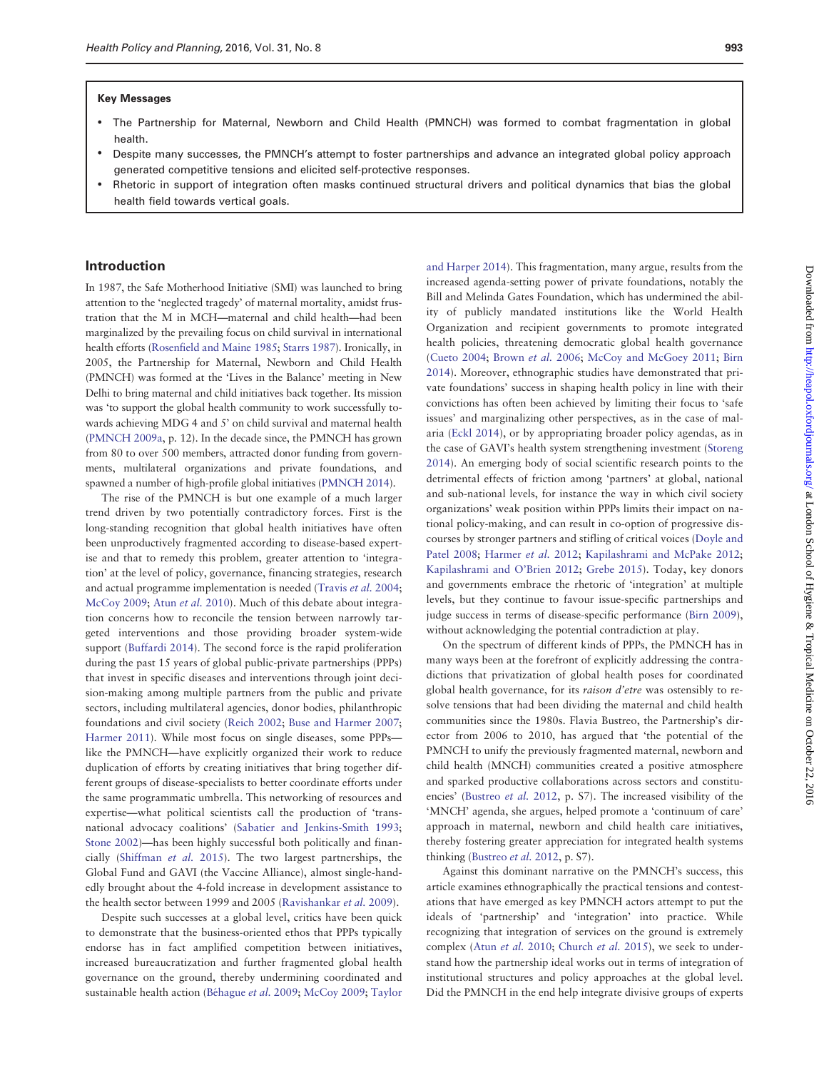#### Key Messages

- The Partnership for Maternal, Newborn and Child Health (PMNCH) was formed to combat fragmentation in global health.
- Despite many successes, the PMNCH's attempt to foster partnerships and advance an integrated global policy approach generated competitive tensions and elicited self-protective responses.
- Rhetoric in support of integration often masks continued structural drivers and political dynamics that bias the global health field towards vertical goals.

#### Introduction

In 1987, the Safe Motherhood Initiative (SMI) was launched to bring attention to the 'neglected tragedy' of maternal mortality, amidst frustration that the M in MCH—maternal and child health—had been marginalized by the prevailing focus on child survival in international health efforts [\(Rosenfield and Maine 1985;](#page-8-0) [Starrs 1987\)](#page-8-0). Ironically, in 2005, the Partnership for Maternal, Newborn and Child Health (PMNCH) was formed at the 'Lives in the Balance' meeting in New Delhi to bring maternal and child initiatives back together. Its mission was 'to support the global health community to work successfully towards achieving MDG 4 and 5' on child survival and maternal health ([PMNCH 2009a,](#page-8-0) p. 12). In the decade since, the PMNCH has grown from 80 to over 500 members, attracted donor funding from governments, multilateral organizations and private foundations, and spawned a number of high-profile global initiatives ([PMNCH 2014\)](#page-8-0).

The rise of the PMNCH is but one example of a much larger trend driven by two potentially contradictory forces. First is the long-standing recognition that global health initiatives have often been unproductively fragmented according to disease-based expertise and that to remedy this problem, greater attention to 'integration' at the level of policy, governance, financing strategies, research and actual programme implementation is needed ([Travis](#page-8-0) et al. 2004; [McCoy 2009;](#page-8-0) Atun et al. [2010\)](#page-7-0). Much of this debate about integration concerns how to reconcile the tension between narrowly targeted interventions and those providing broader system-wide support ([Buffardi 2014](#page-7-0)). The second force is the rapid proliferation during the past 15 years of global public-private partnerships (PPPs) that invest in specific diseases and interventions through joint decision-making among multiple partners from the public and private sectors, including multilateral agencies, donor bodies, philanthropic foundations and civil society [\(Reich 2002](#page-8-0); [Buse and Harmer 2007;](#page-7-0) [Harmer 2011](#page-7-0)). While most focus on single diseases, some PPPs like the PMNCH—have explicitly organized their work to reduce duplication of efforts by creating initiatives that bring together different groups of disease-specialists to better coordinate efforts under the same programmatic umbrella. This networking of resources and expertise—what political scientists call the production of 'transnational advocacy coalitions' [\(Sabatier and Jenkins-Smith 1993;](#page-8-0) [Stone 2002](#page-8-0))—has been highly successful both politically and financially ([Shiffman](#page-8-0) et al. 2015). The two largest partnerships, the Global Fund and GAVI (the Vaccine Alliance), almost single-handedly brought about the 4-fold increase in development assistance to the health sector between 1999 and 2005 [\(Ravishankar](#page-8-0) et al. 2009).

Despite such successes at a global level, critics have been quick to demonstrate that the business-oriented ethos that PPPs typically endorse has in fact amplified competition between initiatives, increased bureaucratization and further fragmented global health governance on the ground, thereby undermining coordinated and sustainable health action (Béhague et al. 2009; [McCoy 2009;](#page-8-0) [Taylor](#page-8-0) [and Harper 2014](#page-8-0)). This fragmentation, many argue, results from the increased agenda-setting power of private foundations, notably the Bill and Melinda Gates Foundation, which has undermined the ability of publicly mandated institutions like the World Health Organization and recipient governments to promote integrated health policies, threatening democratic global health governance ([Cueto 2004](#page-7-0); [Brown](#page-7-0) et al. 2006; McCoy [and McGoey 2011](#page-8-0); [Birn](#page-7-0) [2014\)](#page-7-0). Moreover, ethnographic studies have demonstrated that private foundations' success in shaping health policy in line with their convictions has often been achieved by limiting their focus to 'safe issues' and marginalizing other perspectives, as in the case of malaria ([Eckl 2014](#page-7-0)), or by appropriating broader policy agendas, as in the case of GAVI's health system strengthening investment [\(Storeng](#page-8-0) [2014\)](#page-8-0). An emerging body of social scientific research points to the detrimental effects of friction among 'partners' at global, national and sub-national levels, for instance the way in which civil society organizations' weak position within PPPs limits their impact on national policy-making, and can result in co-option of progressive discourses by stronger partners and stifling of critical voices ([Doyle and](#page-7-0) [Patel 2008;](#page-7-0) [Harmer](#page-7-0) et al. 2012; [Kapilashrami and McPake 2012;](#page-7-0) [Kapilashrami and O'Brien 2012;](#page-7-0) [Grebe 2015\)](#page-7-0). Today, key donors and governments embrace the rhetoric of 'integration' at multiple levels, but they continue to favour issue-specific partnerships and judge success in terms of disease-specific performance [\(Birn 2009](#page-7-0)), without acknowledging the potential contradiction at play.

On the spectrum of different kinds of PPPs, the PMNCH has in many ways been at the forefront of explicitly addressing the contradictions that privatization of global health poses for coordinated global health governance, for its raison d'etre was ostensibly to resolve tensions that had been dividing the maternal and child health communities since the 1980s. Flavia Bustreo, the Partnership's director from 2006 to 2010, has argued that 'the potential of the PMNCH to unify the previously fragmented maternal, newborn and child health (MNCH) communities created a positive atmosphere and sparked productive collaborations across sectors and constituencies' ([Bustreo](#page-7-0) et al. 2012, p. S7). The increased visibility of the 'MNCH' agenda, she argues, helped promote a 'continuum of care' approach in maternal, newborn and child health care initiatives, thereby fostering greater appreciation for integrated health systems thinking ([Bustreo](#page-7-0) et al. 2012, p. S7).

Against this dominant narrative on the PMNCH's success, this article examines ethnographically the practical tensions and contestations that have emerged as key PMNCH actors attempt to put the ideals of 'partnership' and 'integration' into practice. While recognizing that integration of services on the ground is extremely complex (Atun et al. [2010;](#page-7-0) [Church](#page-7-0) et al. 2015), we seek to understand how the partnership ideal works out in terms of integration of institutional structures and policy approaches at the global level. Did the PMNCH in the end help integrate divisive groups of experts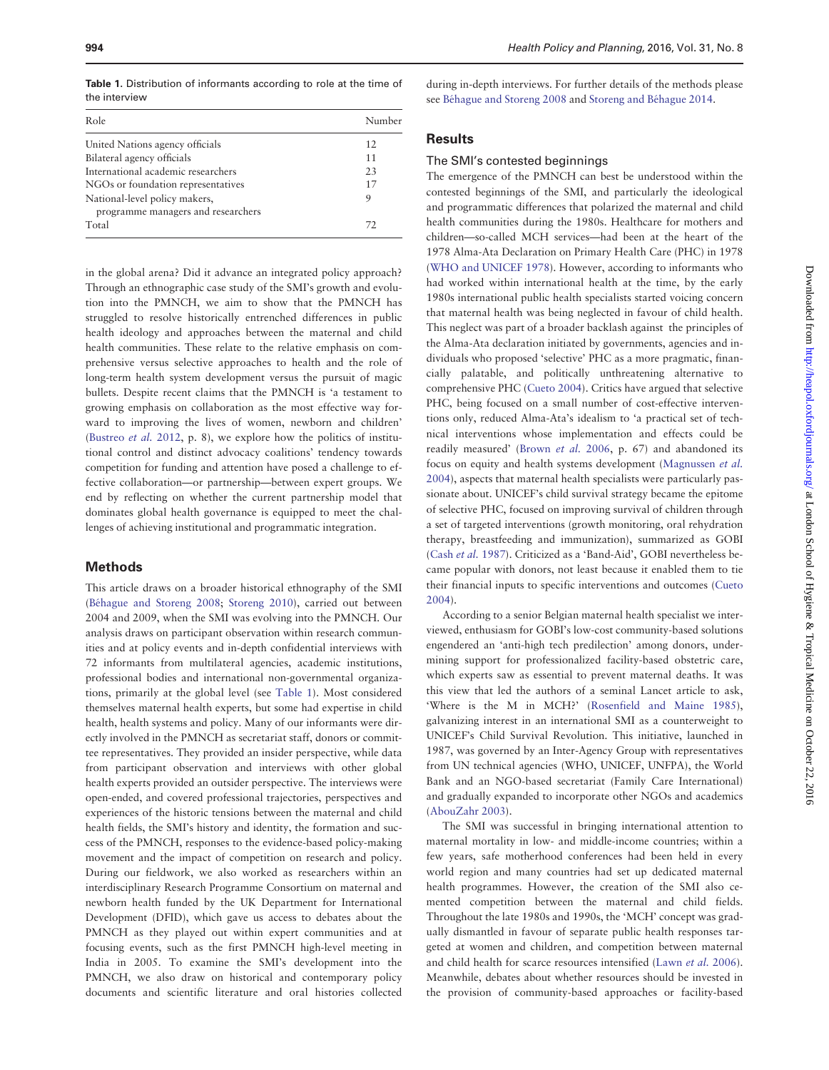Table 1. Distribution of informants according to role at the time of the interview

| Role                                                                | Number |
|---------------------------------------------------------------------|--------|
| United Nations agency officials                                     | 12     |
| Bilateral agency officials                                          | 11     |
| International academic researchers                                  | 23     |
| NGOs or foundation representatives                                  | 17     |
| National-level policy makers,<br>programme managers and researchers | 9      |
| Total                                                               | 77     |

in the global arena? Did it advance an integrated policy approach? Through an ethnographic case study of the SMI's growth and evolution into the PMNCH, we aim to show that the PMNCH has struggled to resolve historically entrenched differences in public health ideology and approaches between the maternal and child health communities. These relate to the relative emphasis on comprehensive versus selective approaches to health and the role of long-term health system development versus the pursuit of magic bullets. Despite recent claims that the PMNCH is 'a testament to growing emphasis on collaboration as the most effective way forward to improving the lives of women, newborn and children' ([Bustreo](#page-7-0) et al. 2012, p. 8), we explore how the politics of institutional control and distinct advocacy coalitions' tendency towards competition for funding and attention have posed a challenge to effective collaboration—or partnership—between expert groups. We end by reflecting on whether the current partnership model that dominates global health governance is equipped to meet the challenges of achieving institutional and programmatic integration.

# Methods

This article draws on a broader historical ethnography of the SMI (Béhague and Storeng 2008; [Storeng 2010\)](#page-8-0), carried out between 2004 and 2009, when the SMI was evolving into the PMNCH. Our analysis draws on participant observation within research communities and at policy events and in-depth confidential interviews with 72 informants from multilateral agencies, academic institutions, professional bodies and international non-governmental organizations, primarily at the global level (see Table 1). Most considered themselves maternal health experts, but some had expertise in child health, health systems and policy. Many of our informants were directly involved in the PMNCH as secretariat staff, donors or committee representatives. They provided an insider perspective, while data from participant observation and interviews with other global health experts provided an outsider perspective. The interviews were open-ended, and covered professional trajectories, perspectives and experiences of the historic tensions between the maternal and child health fields, the SMI's history and identity, the formation and success of the PMNCH, responses to the evidence-based policy-making movement and the impact of competition on research and policy. During our fieldwork, we also worked as researchers within an interdisciplinary Research Programme Consortium on maternal and newborn health funded by the UK Department for International Development (DFID), which gave us access to debates about the PMNCH as they played out within expert communities and at focusing events, such as the first PMNCH high-level meeting in India in 2005. To examine the SMI's development into the PMNCH, we also draw on historical and contemporary policy documents and scientific literature and oral histories collected

during in-depth interviews. For further details of the methods please see Béhague and Storeng 2008 and Storeng and Béhague 2014.

#### **Results**

### The SMI's contested beginnings

The emergence of the PMNCH can best be understood within the contested beginnings of the SMI, and particularly the ideological and programmatic differences that polarized the maternal and child health communities during the 1980s. Healthcare for mothers and children—so-called MCH services—had been at the heart of the 1978 Alma-Ata Declaration on Primary Health Care (PHC) in 1978 ([WHO and UNICEF 1978](#page-8-0)). However, according to informants who had worked within international health at the time, by the early 1980s international public health specialists started voicing concern that maternal health was being neglected in favour of child health. This neglect was part of a broader backlash against the principles of the Alma-Ata declaration initiated by governments, agencies and individuals who proposed 'selective' PHC as a more pragmatic, financially palatable, and politically unthreatening alternative to comprehensive PHC ([Cueto 2004\)](#page-7-0). Critics have argued that selective PHC, being focused on a small number of cost-effective interventions only, reduced Alma-Ata's idealism to 'a practical set of technical interventions whose implementation and effects could be readily measured' ([Brown](#page-7-0) et al. 2006, p. 67) and abandoned its focus on equity and health systems development ([Magnussen](#page-7-0) et al. [2004\)](#page-7-0), aspects that maternal health specialists were particularly passionate about. UNICEF's child survival strategy became the epitome of selective PHC, focused on improving survival of children through a set of targeted interventions (growth monitoring, oral rehydration therapy, breastfeeding and immunization), summarized as GOBI (Cash et al. [1987\)](#page-7-0). Criticized as a 'Band-Aid', GOBI nevertheless became popular with donors, not least because it enabled them to tie their financial inputs to specific interventions and outcomes [\(Cueto](#page-7-0) [2004\)](#page-7-0).

According to a senior Belgian maternal health specialist we interviewed, enthusiasm for GOBI's low-cost community-based solutions engendered an 'anti-high tech predilection' among donors, undermining support for professionalized facility-based obstetric care, which experts saw as essential to prevent maternal deaths. It was this view that led the authors of a seminal Lancet article to ask, 'Where is the M in MCH?' ([Rosenfield and Maine 1985](#page-8-0)), galvanizing interest in an international SMI as a counterweight to UNICEF's Child Survival Revolution. This initiative, launched in 1987, was governed by an Inter-Agency Group with representatives from UN technical agencies (WHO, UNICEF, UNFPA), the World Bank and an NGO-based secretariat (Family Care International) and gradually expanded to incorporate other NGOs and academics ([AbouZahr 2003\)](#page-7-0).

The SMI was successful in bringing international attention to maternal mortality in low- and middle-income countries; within a few years, safe motherhood conferences had been held in every world region and many countries had set up dedicated maternal health programmes. However, the creation of the SMI also cemented competition between the maternal and child fields. Throughout the late 1980s and 1990s, the 'MCH' concept was gradually dismantled in favour of separate public health responses targeted at women and children, and competition between maternal and child health for scarce resources intensified ([Lawn](#page-7-0) et al. 2006). Meanwhile, debates about whether resources should be invested in the provision of community-based approaches or facility-based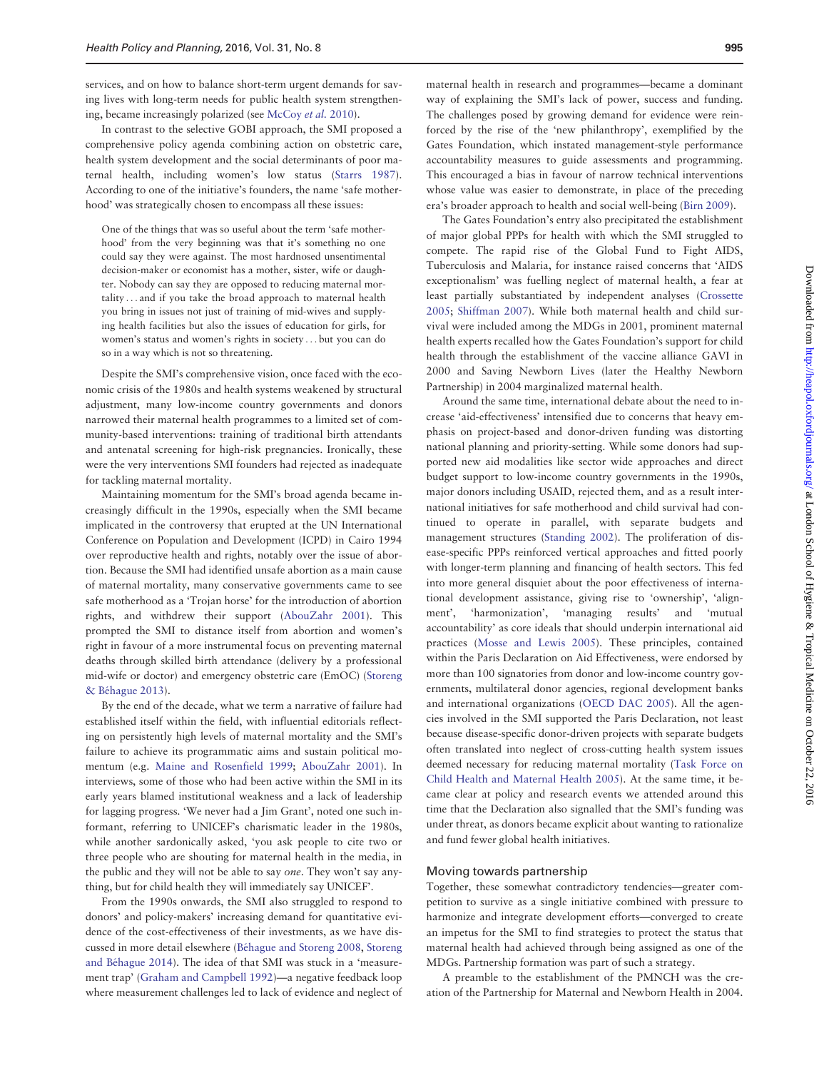services, and on how to balance short-term urgent demands for saving lives with long-term needs for public health system strengthening, became increasingly polarized (see [McCoy](#page-8-0) et al. 2010).

In contrast to the selective GOBI approach, the SMI proposed a comprehensive policy agenda combining action on obstetric care, health system development and the social determinants of poor maternal health, including women's low status ([Starrs 1987](#page-8-0)). According to one of the initiative's founders, the name 'safe motherhood' was strategically chosen to encompass all these issues:

One of the things that was so useful about the term 'safe motherhood' from the very beginning was that it's something no one could say they were against. The most hardnosed unsentimental decision-maker or economist has a mother, sister, wife or daughter. Nobody can say they are opposed to reducing maternal mortality ... and if you take the broad approach to maternal health you bring in issues not just of training of mid-wives and supplying health facilities but also the issues of education for girls, for women's status and women's rights in society ... but you can do so in a way which is not so threatening.

Despite the SMI's comprehensive vision, once faced with the economic crisis of the 1980s and health systems weakened by structural adjustment, many low-income country governments and donors narrowed their maternal health programmes to a limited set of community-based interventions: training of traditional birth attendants and antenatal screening for high-risk pregnancies. Ironically, these were the very interventions SMI founders had rejected as inadequate for tackling maternal mortality.

Maintaining momentum for the SMI's broad agenda became increasingly difficult in the 1990s, especially when the SMI became implicated in the controversy that erupted at the UN International Conference on Population and Development (ICPD) in Cairo 1994 over reproductive health and rights, notably over the issue of abortion. Because the SMI had identified unsafe abortion as a main cause of maternal mortality, many conservative governments came to see safe motherhood as a 'Trojan horse' for the introduction of abortion rights, and withdrew their support ([AbouZahr 2001](#page-7-0)). This prompted the SMI to distance itself from abortion and women's right in favour of a more instrumental focus on preventing maternal deaths through skilled birth attendance (delivery by a professional mid-wife or doctor) and emergency obstetric care (EmOC) [\(Storeng](#page-8-0) & Béhague 2013).

By the end of the decade, what we term a narrative of failure had established itself within the field, with influential editorials reflecting on persistently high levels of maternal mortality and the SMI's failure to achieve its programmatic aims and sustain political momentum (e.g. [Maine and Rosenfield 1999](#page-7-0); [AbouZahr 2001\)](#page-7-0). In interviews, some of those who had been active within the SMI in its early years blamed institutional weakness and a lack of leadership for lagging progress. 'We never had a Jim Grant', noted one such informant, referring to UNICEF's charismatic leader in the 1980s, while another sardonically asked, 'you ask people to cite two or three people who are shouting for maternal health in the media, in the public and they will not be able to say one. They won't say anything, but for child health they will immediately say UNICEF'.

From the 1990s onwards, the SMI also struggled to respond to donors' and policy-makers' increasing demand for quantitative evidence of the cost-effectiveness of their investments, as we have dis-cussed in more detail elsewhere (Béhague and [Storeng](#page-8-0) 2008, Storeng and Béhague 2014). The idea of that SMI was stuck in a 'measurement trap' ([Graham and Campbell 1992\)](#page-7-0)—a negative feedback loop where measurement challenges led to lack of evidence and neglect of

maternal health in research and programmes—became a dominant way of explaining the SMI's lack of power, success and funding. The challenges posed by growing demand for evidence were reinforced by the rise of the 'new philanthropy', exemplified by the Gates Foundation, which instated management-style performance accountability measures to guide assessments and programming. This encouraged a bias in favour of narrow technical interventions whose value was easier to demonstrate, in place of the preceding era's broader approach to health and social well-being [\(Birn 2009](#page-7-0)).

The Gates Foundation's entry also precipitated the establishment of major global PPPs for health with which the SMI struggled to compete. The rapid rise of the Global Fund to Fight AIDS, Tuberculosis and Malaria, for instance raised concerns that 'AIDS exceptionalism' was fuelling neglect of maternal health, a fear at least partially substantiated by independent analyses [\(Crossette](#page-7-0) [2005;](#page-7-0) [Shiffman 2007](#page-8-0)). While both maternal health and child survival were included among the MDGs in 2001, prominent maternal health experts recalled how the Gates Foundation's support for child health through the establishment of the vaccine alliance GAVI in 2000 and Saving Newborn Lives (later the Healthy Newborn Partnership) in 2004 marginalized maternal health.

Around the same time, international debate about the need to increase 'aid-effectiveness' intensified due to concerns that heavy emphasis on project-based and donor-driven funding was distorting national planning and priority-setting. While some donors had supported new aid modalities like sector wide approaches and direct budget support to low-income country governments in the 1990s, major donors including USAID, rejected them, and as a result international initiatives for safe motherhood and child survival had continued to operate in parallel, with separate budgets and management structures [\(Standing 2002\)](#page-8-0). The proliferation of disease-specific PPPs reinforced vertical approaches and fitted poorly with longer-term planning and financing of health sectors. This fed into more general disquiet about the poor effectiveness of international development assistance, giving rise to 'ownership', 'alignment', 'harmonization', 'managing results' and 'mutual accountability' as core ideals that should underpin international aid practices ([Mosse and Lewis 2005](#page-8-0)). These principles, contained within the Paris Declaration on Aid Effectiveness, were endorsed by more than 100 signatories from donor and low-income country governments, multilateral donor agencies, regional development banks and international organizations ([OECD DAC 2005\)](#page-8-0). All the agencies involved in the SMI supported the Paris Declaration, not least because disease-specific donor-driven projects with separate budgets often translated into neglect of cross-cutting health system issues deemed necessary for reducing maternal mortality [\(Task Force on](#page-8-0) [Child Health and Maternal Health 2005\)](#page-8-0). At the same time, it became clear at policy and research events we attended around this time that the Declaration also signalled that the SMI's funding was under threat, as donors became explicit about wanting to rationalize and fund fewer global health initiatives.

#### Moving towards partnership

Together, these somewhat contradictory tendencies—greater competition to survive as a single initiative combined with pressure to harmonize and integrate development efforts—converged to create an impetus for the SMI to find strategies to protect the status that maternal health had achieved through being assigned as one of the MDGs. Partnership formation was part of such a strategy.

A preamble to the establishment of the PMNCH was the creation of the Partnership for Maternal and Newborn Health in 2004.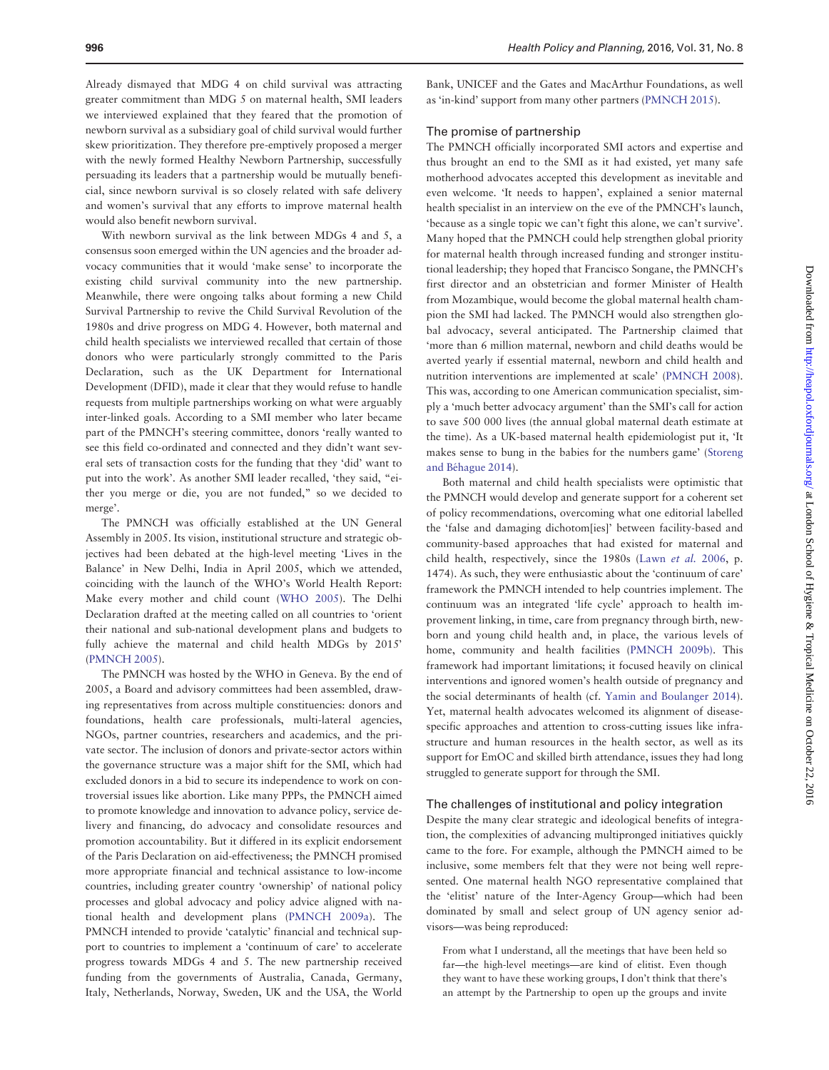Already dismayed that MDG 4 on child survival was attracting greater commitment than MDG 5 on maternal health, SMI leaders we interviewed explained that they feared that the promotion of newborn survival as a subsidiary goal of child survival would further skew prioritization. They therefore pre-emptively proposed a merger with the newly formed Healthy Newborn Partnership, successfully persuading its leaders that a partnership would be mutually beneficial, since newborn survival is so closely related with safe delivery and women's survival that any efforts to improve maternal health would also benefit newborn survival.

With newborn survival as the link between MDGs 4 and 5, a consensus soon emerged within the UN agencies and the broader advocacy communities that it would 'make sense' to incorporate the existing child survival community into the new partnership. Meanwhile, there were ongoing talks about forming a new Child Survival Partnership to revive the Child Survival Revolution of the 1980s and drive progress on MDG 4. However, both maternal and child health specialists we interviewed recalled that certain of those donors who were particularly strongly committed to the Paris Declaration, such as the UK Department for International Development (DFID), made it clear that they would refuse to handle requests from multiple partnerships working on what were arguably inter-linked goals. According to a SMI member who later became part of the PMNCH's steering committee, donors 'really wanted to see this field co-ordinated and connected and they didn't want several sets of transaction costs for the funding that they 'did' want to put into the work'. As another SMI leader recalled, 'they said, "either you merge or die, you are not funded," so we decided to merge'.

The PMNCH was officially established at the UN General Assembly in 2005. Its vision, institutional structure and strategic objectives had been debated at the high-level meeting 'Lives in the Balance' in New Delhi, India in April 2005, which we attended, coinciding with the launch of the WHO's World Health Report: Make every mother and child count ([WHO 2005\)](#page-8-0). The Delhi Declaration drafted at the meeting called on all countries to 'orient their national and sub-national development plans and budgets to fully achieve the maternal and child health MDGs by 2015' ([PMNCH 2005\)](#page-8-0).

The PMNCH was hosted by the WHO in Geneva. By the end of 2005, a Board and advisory committees had been assembled, drawing representatives from across multiple constituencies: donors and foundations, health care professionals, multi-lateral agencies, NGOs, partner countries, researchers and academics, and the private sector. The inclusion of donors and private-sector actors within the governance structure was a major shift for the SMI, which had excluded donors in a bid to secure its independence to work on controversial issues like abortion. Like many PPPs, the PMNCH aimed to promote knowledge and innovation to advance policy, service delivery and financing, do advocacy and consolidate resources and promotion accountability. But it differed in its explicit endorsement of the Paris Declaration on aid-effectiveness; the PMNCH promised more appropriate financial and technical assistance to low-income countries, including greater country 'ownership' of national policy processes and global advocacy and policy advice aligned with national health and development plans [\(PMNCH 2009a\)](#page-8-0). The PMNCH intended to provide 'catalytic' financial and technical support to countries to implement a 'continuum of care' to accelerate progress towards MDGs 4 and 5. The new partnership received funding from the governments of Australia, Canada, Germany, Italy, Netherlands, Norway, Sweden, UK and the USA, the World

Bank, UNICEF and the Gates and MacArthur Foundations, as well as 'in-kind' support from many other partners ([PMNCH 2015\)](#page-8-0).

#### The promise of partnership

The PMNCH officially incorporated SMI actors and expertise and thus brought an end to the SMI as it had existed, yet many safe motherhood advocates accepted this development as inevitable and even welcome. 'It needs to happen', explained a senior maternal health specialist in an interview on the eve of the PMNCH's launch, 'because as a single topic we can't fight this alone, we can't survive'. Many hoped that the PMNCH could help strengthen global priority for maternal health through increased funding and stronger institutional leadership; they hoped that Francisco Songane, the PMNCH's first director and an obstetrician and former Minister of Health from Mozambique, would become the global maternal health champion the SMI had lacked. The PMNCH would also strengthen global advocacy, several anticipated. The Partnership claimed that 'more than 6 million maternal, newborn and child deaths would be averted yearly if essential maternal, newborn and child health and nutrition interventions are implemented at scale' [\(PMNCH 2008](#page-8-0)). This was, according to one American communication specialist, simply a 'much better advocacy argument' than the SMI's call for action to save 500 000 lives (the annual global maternal death estimate at the time). As a UK-based maternal health epidemiologist put it, 'It makes sense to bung in the babies for the numbers game' [\(Storeng](#page-8-0) and Béhague 2014).

Both maternal and child health specialists were optimistic that the PMNCH would develop and generate support for a coherent set of policy recommendations, overcoming what one editorial labelled the 'false and damaging dichotom[ies]' between facility-based and community-based approaches that had existed for maternal and child health, respectively, since the 1980s [\(Lawn](#page-7-0) et al. 2006, p. 1474). As such, they were enthusiastic about the 'continuum of care' framework the PMNCH intended to help countries implement. The continuum was an integrated 'life cycle' approach to health improvement linking, in time, care from pregnancy through birth, newborn and young child health and, in place, the various levels of home, community and health facilities ([PMNCH 2009b\).](#page-8-0) This framework had important limitations; it focused heavily on clinical interventions and ignored women's health outside of pregnancy and the social determinants of health (cf. [Yamin and Boulanger 2014](#page-8-0)). Yet, maternal health advocates welcomed its alignment of diseasespecific approaches and attention to cross-cutting issues like infrastructure and human resources in the health sector, as well as its support for EmOC and skilled birth attendance, issues they had long struggled to generate support for through the SMI.

#### The challenges of institutional and policy integration

Despite the many clear strategic and ideological benefits of integration, the complexities of advancing multipronged initiatives quickly came to the fore. For example, although the PMNCH aimed to be inclusive, some members felt that they were not being well represented. One maternal health NGO representative complained that the 'elitist' nature of the Inter-Agency Group—which had been dominated by small and select group of UN agency senior advisors—was being reproduced:

From what I understand, all the meetings that have been held so far—the high-level meetings—are kind of elitist. Even though they want to have these working groups, I don't think that there's an attempt by the Partnership to open up the groups and invite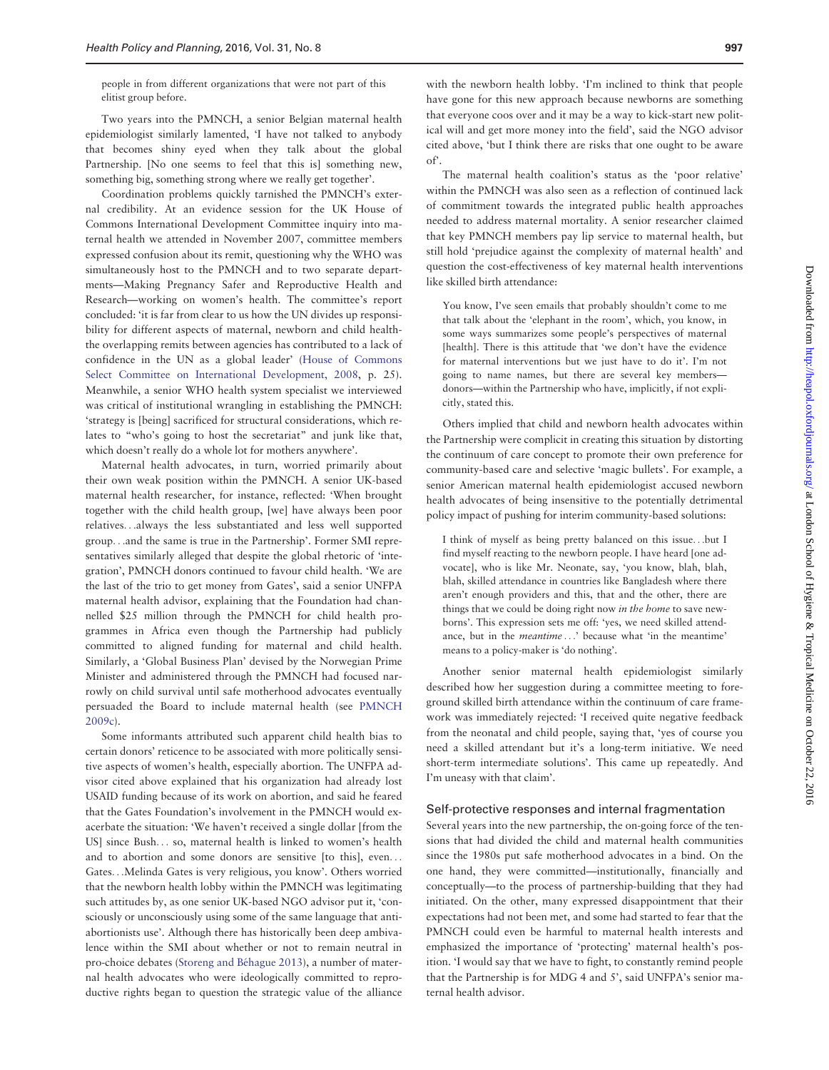people in from different organizations that were not part of this elitist group before.

Two years into the PMNCH, a senior Belgian maternal health epidemiologist similarly lamented, 'I have not talked to anybody that becomes shiny eyed when they talk about the global Partnership. [No one seems to feel that this is] something new, something big, something strong where we really get together'.

Coordination problems quickly tarnished the PMNCH's external credibility. At an evidence session for the UK House of Commons International Development Committee inquiry into maternal health we attended in November 2007, committee members expressed confusion about its remit, questioning why the WHO was simultaneously host to the PMNCH and to two separate departments—Making Pregnancy Safer and Reproductive Health and Research—working on women's health. The committee's report concluded: 'it is far from clear to us how the UN divides up responsibility for different aspects of maternal, newborn and child healththe overlapping remits between agencies has contributed to a lack of confidence in the UN as a global leader' ([House of Commons](#page-7-0) [Select Committee on International Development, 2008,](#page-7-0) p. 25). Meanwhile, a senior WHO health system specialist we interviewed was critical of institutional wrangling in establishing the PMNCH: 'strategy is [being] sacrificed for structural considerations, which relates to "who's going to host the secretariat" and junk like that, which doesn't really do a whole lot for mothers anywhere'.

Maternal health advocates, in turn, worried primarily about their own weak position within the PMNCH. A senior UK-based maternal health researcher, for instance, reflected: 'When brought together with the child health group, [we] have always been poor relatives...always the less substantiated and less well supported group...and the same is true in the Partnership'. Former SMI representatives similarly alleged that despite the global rhetoric of 'integration', PMNCH donors continued to favour child health. 'We are the last of the trio to get money from Gates', said a senior UNFPA maternal health advisor, explaining that the Foundation had channelled \$25 million through the PMNCH for child health programmes in Africa even though the Partnership had publicly committed to aligned funding for maternal and child health. Similarly, a 'Global Business Plan' devised by the Norwegian Prime Minister and administered through the PMNCH had focused narrowly on child survival until safe motherhood advocates eventually persuaded the Board to include maternal health (see [PMNCH](#page-8-0) [2009c](#page-8-0)).

Some informants attributed such apparent child health bias to certain donors' reticence to be associated with more politically sensitive aspects of women's health, especially abortion. The UNFPA advisor cited above explained that his organization had already lost USAID funding because of its work on abortion, and said he feared that the Gates Foundation's involvement in the PMNCH would exacerbate the situation: 'We haven't received a single dollar [from the US] since Bush... so, maternal health is linked to women's health and to abortion and some donors are sensitive [to this], even... Gates...Melinda Gates is very religious, you know'. Others worried that the newborn health lobby within the PMNCH was legitimating such attitudes by, as one senior UK-based NGO advisor put it, 'consciously or unconsciously using some of the same language that antiabortionists use'. Although there has historically been deep ambivalence within the SMI about whether or not to remain neutral in pro-choice debates (Storeng and Béhague 2013), a number of maternal health advocates who were ideologically committed to reproductive rights began to question the strategic value of the alliance

with the newborn health lobby. 'I'm inclined to think that people have gone for this new approach because newborns are something that everyone coos over and it may be a way to kick-start new political will and get more money into the field', said the NGO advisor cited above, 'but I think there are risks that one ought to be aware of'.

The maternal health coalition's status as the 'poor relative' within the PMNCH was also seen as a reflection of continued lack of commitment towards the integrated public health approaches needed to address maternal mortality. A senior researcher claimed that key PMNCH members pay lip service to maternal health, but still hold 'prejudice against the complexity of maternal health' and question the cost-effectiveness of key maternal health interventions like skilled birth attendance:

You know, I've seen emails that probably shouldn't come to me that talk about the 'elephant in the room', which, you know, in some ways summarizes some people's perspectives of maternal [health]. There is this attitude that 'we don't have the evidence for maternal interventions but we just have to do it'. I'm not going to name names, but there are several key members donors—within the Partnership who have, implicitly, if not explicitly, stated this.

Others implied that child and newborn health advocates within the Partnership were complicit in creating this situation by distorting the continuum of care concept to promote their own preference for community-based care and selective 'magic bullets'. For example, a senior American maternal health epidemiologist accused newborn health advocates of being insensitive to the potentially detrimental policy impact of pushing for interim community-based solutions:

I think of myself as being pretty balanced on this issue...but I find myself reacting to the newborn people. I have heard [one advocate], who is like Mr. Neonate, say, 'you know, blah, blah, blah, skilled attendance in countries like Bangladesh where there aren't enough providers and this, that and the other, there are things that we could be doing right now in the home to save newborns'. This expression sets me off: 'yes, we need skilled attendance, but in the meantime ...' because what 'in the meantime' means to a policy-maker is 'do nothing'.

Another senior maternal health epidemiologist similarly described how her suggestion during a committee meeting to foreground skilled birth attendance within the continuum of care framework was immediately rejected: 'I received quite negative feedback from the neonatal and child people, saying that, 'yes of course you need a skilled attendant but it's a long-term initiative. We need short-term intermediate solutions'. This came up repeatedly. And I'm uneasy with that claim'.

#### Self-protective responses and internal fragmentation

Several years into the new partnership, the on-going force of the tensions that had divided the child and maternal health communities since the 1980s put safe motherhood advocates in a bind. On the one hand, they were committed—institutionally, financially and conceptually—to the process of partnership-building that they had initiated. On the other, many expressed disappointment that their expectations had not been met, and some had started to fear that the PMNCH could even be harmful to maternal health interests and emphasized the importance of 'protecting' maternal health's position. 'I would say that we have to fight, to constantly remind people that the Partnership is for MDG 4 and 5', said UNFPA's senior maternal health advisor.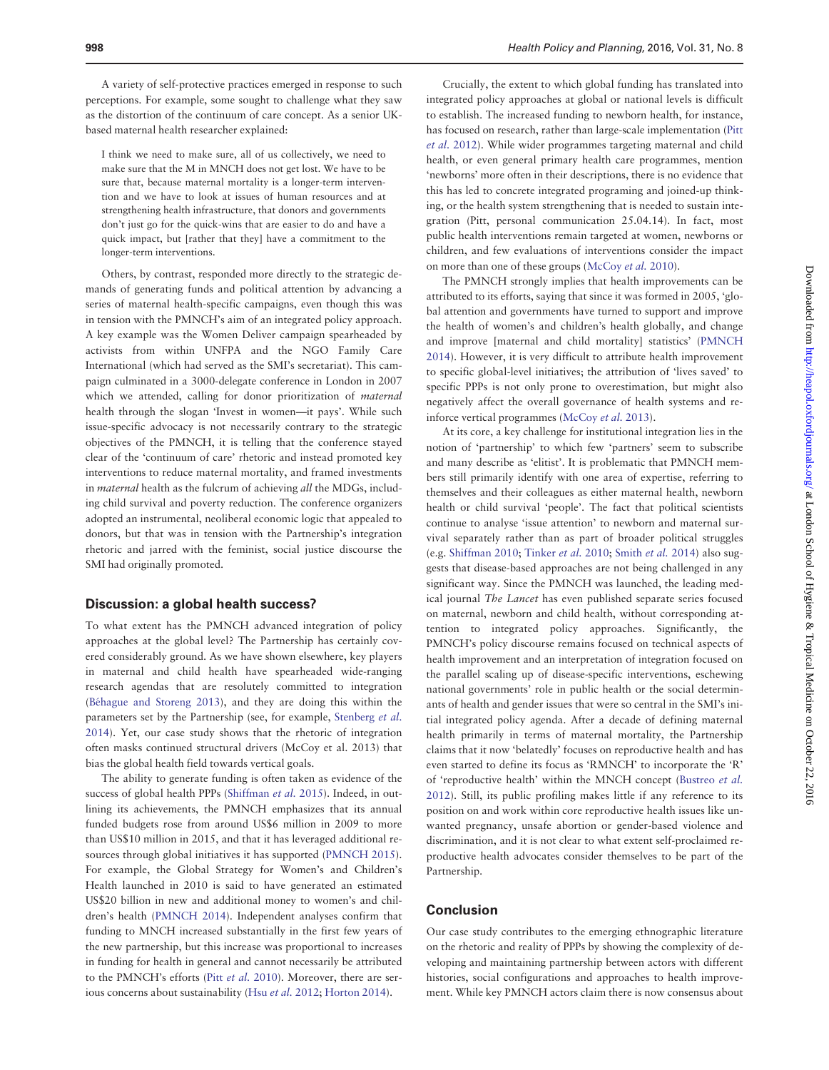A variety of self-protective practices emerged in response to such perceptions. For example, some sought to challenge what they saw as the distortion of the continuum of care concept. As a senior UKbased maternal health researcher explained:

I think we need to make sure, all of us collectively, we need to make sure that the M in MNCH does not get lost. We have to be sure that, because maternal mortality is a longer-term intervention and we have to look at issues of human resources and at strengthening health infrastructure, that donors and governments don't just go for the quick-wins that are easier to do and have a quick impact, but [rather that they] have a commitment to the longer-term interventions.

Others, by contrast, responded more directly to the strategic demands of generating funds and political attention by advancing a series of maternal health-specific campaigns, even though this was in tension with the PMNCH's aim of an integrated policy approach. A key example was the Women Deliver campaign spearheaded by activists from within UNFPA and the NGO Family Care International (which had served as the SMI's secretariat). This campaign culminated in a 3000-delegate conference in London in 2007 which we attended, calling for donor prioritization of *maternal* health through the slogan 'Invest in women—it pays'. While such issue-specific advocacy is not necessarily contrary to the strategic objectives of the PMNCH, it is telling that the conference stayed clear of the 'continuum of care' rhetoric and instead promoted key interventions to reduce maternal mortality, and framed investments in *maternal* health as the fulcrum of achieving all the MDGs, including child survival and poverty reduction. The conference organizers adopted an instrumental, neoliberal economic logic that appealed to donors, but that was in tension with the Partnership's integration rhetoric and jarred with the feminist, social justice discourse the SMI had originally promoted.

#### Discussion: a global health success?

To what extent has the PMNCH advanced integration of policy approaches at the global level? The Partnership has certainly covered considerably ground. As we have shown elsewhere, key players in maternal and child health have spearheaded wide-ranging research agendas that are resolutely committed to integration (Béhague and Storeng 2013), and they are doing this within the parameters set by the Partnership (see, for example, [Stenberg](#page-8-0) et al. [2014\)](#page-8-0). Yet, our case study shows that the rhetoric of integration often masks continued structural drivers (McCoy et al. 2013) that bias the global health field towards vertical goals.

The ability to generate funding is often taken as evidence of the success of global health PPPs [\(Shiffman](#page-8-0) et al. 2015). Indeed, in outlining its achievements, the PMNCH emphasizes that its annual funded budgets rose from around US\$6 million in 2009 to more than US\$10 million in 2015, and that it has leveraged additional resources through global initiatives it has supported ([PMNCH 2015](#page-8-0)). For example, the Global Strategy for Women's and Children's Health launched in 2010 is said to have generated an estimated US\$20 billion in new and additional money to women's and children's health ([PMNCH 2014](#page-8-0)). Independent analyses confirm that funding to MNCH increased substantially in the first few years of the new partnership, but this increase was proportional to increases in funding for health in general and cannot necessarily be attributed to the PMNCH's efforts (Pitt et al. [2010](#page-8-0)). Moreover, there are ser-ious concerns about sustainability (Hsu et al. [2012;](#page-7-0) [Horton 2014](#page-7-0)).

Crucially, the extent to which global funding has translated into integrated policy approaches at global or national levels is difficult to establish. The increased funding to newborn health, for instance, has focused on research, rather than large-scale implementation [\(Pitt](#page-8-0) et al. [2012\)](#page-8-0). While wider programmes targeting maternal and child health, or even general primary health care programmes, mention 'newborns' more often in their descriptions, there is no evidence that this has led to concrete integrated programing and joined-up thinking, or the health system strengthening that is needed to sustain integration (Pitt, personal communication 25.04.14). In fact, most public health interventions remain targeted at women, newborns or children, and few evaluations of interventions consider the impact on more than one of these groups ([McCoy](#page-8-0) et al. 2010).

The PMNCH strongly implies that health improvements can be attributed to its efforts, saying that since it was formed in 2005, 'global attention and governments have turned to support and improve the health of women's and children's health globally, and change and improve [maternal and child mortality] statistics' ([PMNCH](#page-8-0) [2014\)](#page-8-0). However, it is very difficult to attribute health improvement to specific global-level initiatives; the attribution of 'lives saved' to specific PPPs is not only prone to overestimation, but might also negatively affect the overall governance of health systems and reinforce vertical programmes ([McCoy](#page-8-0) et al. 2013).

At its core, a key challenge for institutional integration lies in the notion of 'partnership' to which few 'partners' seem to subscribe and many describe as 'elitist'. It is problematic that PMNCH members still primarily identify with one area of expertise, referring to themselves and their colleagues as either maternal health, newborn health or child survival 'people'. The fact that political scientists continue to analyse 'issue attention' to newborn and maternal survival separately rather than as part of broader political struggles (e.g. [Shiffman 2010](#page-8-0); [Tinker](#page-8-0) et al. 2010; [Smith](#page-8-0) et al. 2014) also suggests that disease-based approaches are not being challenged in any significant way. Since the PMNCH was launched, the leading medical journal The Lancet has even published separate series focused on maternal, newborn and child health, without corresponding attention to integrated policy approaches. Significantly, the PMNCH's policy discourse remains focused on technical aspects of health improvement and an interpretation of integration focused on the parallel scaling up of disease-specific interventions, eschewing national governments' role in public health or the social determinants of health and gender issues that were so central in the SMI's initial integrated policy agenda. After a decade of defining maternal health primarily in terms of maternal mortality, the Partnership claims that it now 'belatedly' focuses on reproductive health and has even started to define its focus as 'RMNCH' to incorporate the 'R' of 'reproductive health' within the MNCH concept [\(Bustreo](#page-7-0) et al. [2012\)](#page-7-0). Still, its public profiling makes little if any reference to its position on and work within core reproductive health issues like unwanted pregnancy, unsafe abortion or gender-based violence and discrimination, and it is not clear to what extent self-proclaimed reproductive health advocates consider themselves to be part of the Partnership.

### Conclusion

Our case study contributes to the emerging ethnographic literature on the rhetoric and reality of PPPs by showing the complexity of developing and maintaining partnership between actors with different histories, social configurations and approaches to health improvement. While key PMNCH actors claim there is now consensus about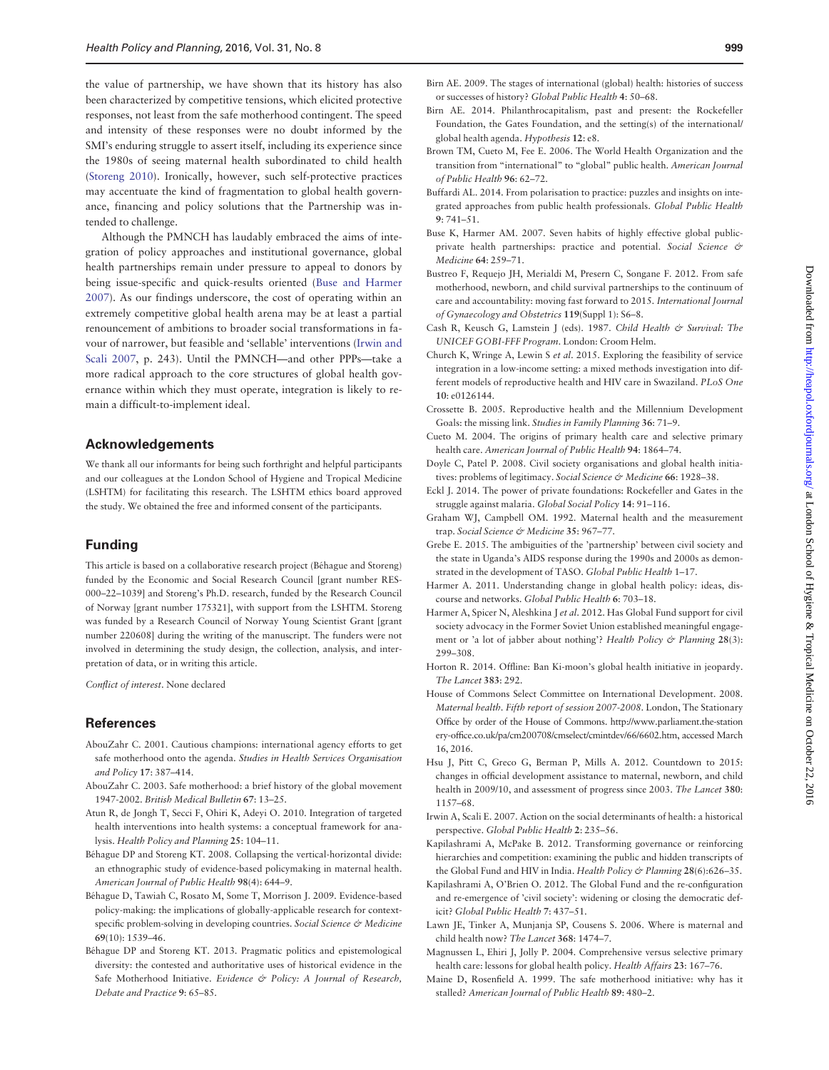<span id="page-7-0"></span>the value of partnership, we have shown that its history has also been characterized by competitive tensions, which elicited protective responses, not least from the safe motherhood contingent. The speed and intensity of these responses were no doubt informed by the SMI's enduring struggle to assert itself, including its experience since the 1980s of seeing maternal health subordinated to child health ([Storeng 2010](#page-8-0)). Ironically, however, such self-protective practices may accentuate the kind of fragmentation to global health governance, financing and policy solutions that the Partnership was intended to challenge.

Although the PMNCH has laudably embraced the aims of integration of policy approaches and institutional governance, global health partnerships remain under pressure to appeal to donors by being issue-specific and quick-results oriented (Buse and Harmer 2007). As our findings underscore, the cost of operating within an extremely competitive global health arena may be at least a partial renouncement of ambitions to broader social transformations in favour of narrower, but feasible and 'sellable' interventions (Irwin and Scali 2007, p. 243). Until the PMNCH—and other PPPs—take a more radical approach to the core structures of global health governance within which they must operate, integration is likely to remain a difficult-to-implement ideal.

### Acknowledgements

We thank all our informants for being such forthright and helpful participants and our colleagues at the London School of Hygiene and Tropical Medicine (LSHTM) for facilitating this research. The LSHTM ethics board approved the study. We obtained the free and informed consent of the participants.

# Funding

This article is based on a collaborative research project (Béhague and Storeng) funded by the Economic and Social Research Council [grant number RES-000–22–1039] and Storeng's Ph.D. research, funded by the Research Council of Norway [grant number 175321], with support from the LSHTM. Storeng was funded by a Research Council of Norway Young Scientist Grant [grant number 220608] during the writing of the manuscript. The funders were not involved in determining the study design, the collection, analysis, and interpretation of data, or in writing this article.

Conflict of interest. None declared

# **References**

- AbouZahr C. 2001. Cautious champions: international agency efforts to get safe motherhood onto the agenda. Studies in Health Services Organisation and Policy 17: 387–414.
- AbouZahr C. 2003. Safe motherhood: a brief history of the global movement 1947-2002. British Medical Bulletin 67: 13–25.
- Atun R, de Jongh T, Secci F, Ohiri K, Adeyi O. 2010. Integration of targeted health interventions into health systems: a conceptual framework for analysis. Health Policy and Planning 25: 104–11.
- Béhague DP and Storeng KT. 2008. Collapsing the vertical-horizontal divide: an ethnographic study of evidence-based policymaking in maternal health. American Journal of Public Health 98(4): 644–9.
- Béhague D, Tawiah C, Rosato M, Some T, Morrison J. 2009. Evidence-based policy-making: the implications of globally-applicable research for contextspecific problem-solving in developing countries. Social Science & Medicine 69(10): 1539–46.
- Béhague DP and Storeng KT. 2013. Pragmatic politics and epistemological diversity: the contested and authoritative uses of historical evidence in the Safe Motherhood Initiative. Evidence & Policy: A Journal of Research, Debate and Practice 9: 65–85.
- Birn AE. 2009. The stages of international (global) health: histories of success or successes of history? Global Public Health 4: 50–68.
- Birn AE. 2014. Philanthrocapitalism, past and present: the Rockefeller Foundation, the Gates Foundation, and the setting(s) of the international/ global health agenda. Hypothesis 12: e8.
- Brown TM, Cueto M, Fee E. 2006. The World Health Organization and the transition from "international" to "global" public health. American Journal of Public Health 96: 62–72.
- Buffardi AL. 2014. From polarisation to practice: puzzles and insights on integrated approaches from public health professionals. Global Public Health 9: 741–51.
- Buse K, Harmer AM. 2007. Seven habits of highly effective global publicprivate health partnerships: practice and potential. Social Science & Medicine 64: 259–71.
- Bustreo F, Requejo JH, Merialdi M, Presern C, Songane F. 2012. From safe motherhood, newborn, and child survival partnerships to the continuum of care and accountability: moving fast forward to 2015. International Journal of Gynaecology and Obstetrics 119(Suppl 1): S6–8.
- Cash R, Keusch G, Lamstein J (eds). 1987. Child Health & Survival: The UNICEF GOBI-FFF Program. London: Croom Helm.
- Church K, Wringe A, Lewin S et al. 2015. Exploring the feasibility of service integration in a low-income setting: a mixed methods investigation into different models of reproductive health and HIV care in Swaziland. PLoS One 10: e0126144.
- Crossette B. 2005. Reproductive health and the Millennium Development Goals: the missing link. Studies in Family Planning 36: 71–9.
- Cueto M. 2004. The origins of primary health care and selective primary health care. American Journal of Public Health 94: 1864–74.
- Doyle C, Patel P. 2008. Civil society organisations and global health initiatives: problems of legitimacy. Social Science & Medicine 66: 1928-38.
- Eckl J. 2014. The power of private foundations: Rockefeller and Gates in the struggle against malaria. Global Social Policy 14: 91–116.
- Graham WJ, Campbell OM. 1992. Maternal health and the measurement trap. Social Science & Medicine 35: 967-77.
- Grebe E. 2015. The ambiguities of the 'partnership' between civil society and the state in Uganda's AIDS response during the 1990s and 2000s as demonstrated in the development of TASO. Global Public Health 1–17.
- Harmer A. 2011. Understanding change in global health policy: ideas, discourse and networks. Global Public Health 6: 703–18.
- Harmer A, Spicer N, Aleshkina J et al. 2012. Has Global Fund support for civil society advocacy in the Former Soviet Union established meaningful engagement or 'a lot of jabber about nothing'? Health Policy & Planning 28(3): 299–308.
- Horton R. 2014. Offline: Ban Ki-moon's global health initiative in jeopardy. The Lancet 383: 292.
- House of Commons Select Committee on International Development. 2008. Maternal health. Fifth report of session 2007-2008. London, The Stationary Office by order of the House of Commons. [http://www.parliament.the-station](http://www.parliament.the-stationery-office.co.uk/pa/cm200708/cmselect/cmintdev/66/6602.htm) [ery-office.co.uk/pa/cm200708/cmselect/cmintdev/66/6602.htm](http://www.parliament.the-stationery-office.co.uk/pa/cm200708/cmselect/cmintdev/66/6602.htm), accessed March 16, 2016.
- Hsu J, Pitt C, Greco G, Berman P, Mills A. 2012. Countdown to 2015: changes in official development assistance to maternal, newborn, and child health in 2009/10, and assessment of progress since 2003. The Lancet 380: 1157–68.
- Irwin A, Scali E. 2007. Action on the social determinants of health: a historical perspective. Global Public Health 2: 235–56.
- Kapilashrami A, McPake B. 2012. Transforming governance or reinforcing hierarchies and competition: examining the public and hidden transcripts of the Global Fund and HIV in India. Health Policy & Planning 28(6):626-35.
- Kapilashrami A, O'Brien O. 2012. The Global Fund and the re-configuration and re-emergence of 'civil society': widening or closing the democratic deficit? Global Public Health 7: 437–51.
- Lawn JE, Tinker A, Munjanja SP, Cousens S. 2006. Where is maternal and child health now? The Lancet 368: 1474–7.
- Magnussen L, Ehiri J, Jolly P. 2004. Comprehensive versus selective primary health care: lessons for global health policy. Health Affairs 23: 167–76.
- Maine D, Rosenfield A. 1999. The safe motherhood initiative: why has it stalled? American Journal of Public Health 89: 480–2.